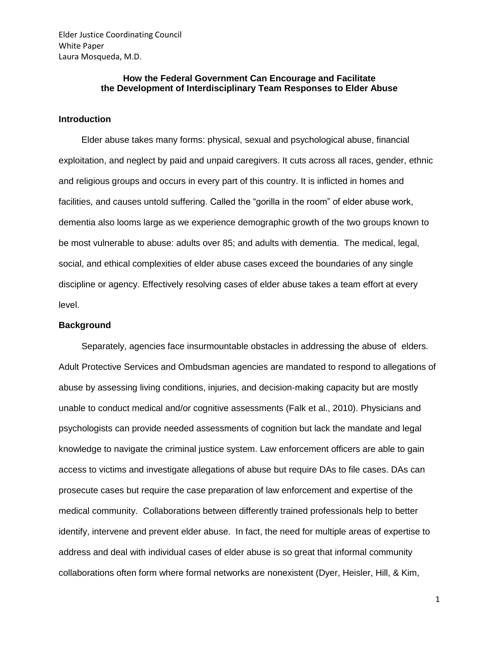## **How the Federal Government Can Encourage and Facilitate the Development of Interdisciplinary Team Responses to Elder Abuse**

#### **Introduction**

 Elder abuse takes many forms: physical, sexual and psychological abuse, financial exploitation, and neglect by paid and unpaid caregivers. It cuts across all races, gender, ethnic and religious groups and occurs in every part of this country. It is inflicted in homes and facilities, and causes untold suffering. Called the "gorilla in the room" of elder abuse work, dementia also looms large as we experience demographic growth of the two groups known to be most vulnerable to abuse: adults over 85; and adults with dementia. The medical, legal, social, and ethical complexities of elder abuse cases exceed the boundaries of any single discipline or agency. Effectively resolving cases of elder abuse takes a team effort at every level.

#### **Background**

Separately, agencies face insurmountable obstacles in addressing the abuse of elders. Adult Protective Services and Ombudsman agencies are mandated to respond to allegations of abuse by assessing living conditions, injuries, and decision-making capacity but are mostly unable to conduct medical and/or cognitive assessments (Falk et al., 2010). Physicians and psychologists can provide needed assessments of cognition but lack the mandate and legal knowledge to navigate the criminal justice system. Law enforcement officers are able to gain access to victims and investigate allegations of abuse but require DAs to file cases. DAs can prosecute cases but require the case preparation of law enforcement and expertise of the medical community. Collaborations between differently trained professionals help to better identify, intervene and prevent elder abuse. In fact, the need for multiple areas of expertise to address and deal with individual cases of elder abuse is so great that informal community collaborations often form where formal networks are nonexistent (Dyer, Heisler, Hill, & Kim,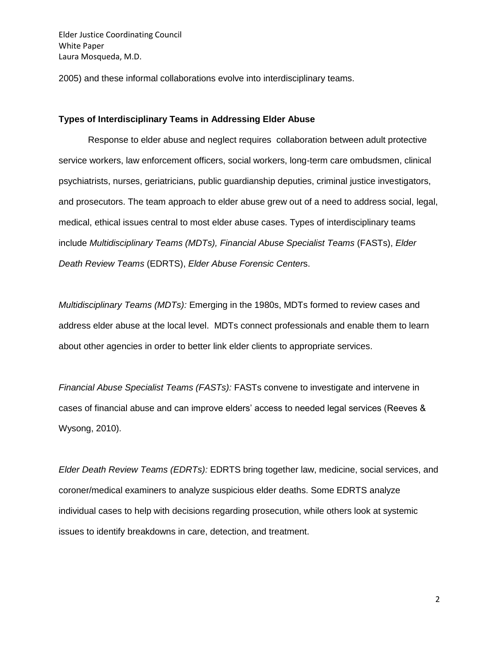2005) and these informal collaborations evolve into interdisciplinary teams.

#### **Types of Interdisciplinary Teams in Addressing Elder Abuse**

Response to elder abuse and neglect requires collaboration between adult protective service workers, law enforcement officers, social workers, long-term care ombudsmen, clinical psychiatrists, nurses, geriatricians, public guardianship deputies, criminal justice investigators, and prosecutors. The team approach to elder abuse grew out of a need to address social, legal, medical, ethical issues central to most elder abuse cases. Types of interdisciplinary teams include *Multidisciplinary Teams (MDTs), Financial Abuse Specialist Teams* (FASTs), *Elder Death Review Teams* (EDRTS), *Elder Abuse Forensic Center*s.

*Multidisciplinary Teams (MDTs):* Emerging in the 1980s, MDTs formed to review cases and address elder abuse at the local level. MDTs connect professionals and enable them to learn about other agencies in order to better link elder clients to appropriate services.

*Financial Abuse Specialist Teams (FASTs):* FASTs convene to investigate and intervene in cases of financial abuse and can improve elders' access to needed legal services (Reeves & Wysong, 2010).

*Elder Death Review Teams (EDRTs):* EDRTS bring together law, medicine, social services, and coroner/medical examiners to analyze suspicious elder deaths. Some EDRTS analyze individual cases to help with decisions regarding prosecution, while others look at systemic issues to identify breakdowns in care, detection, and treatment.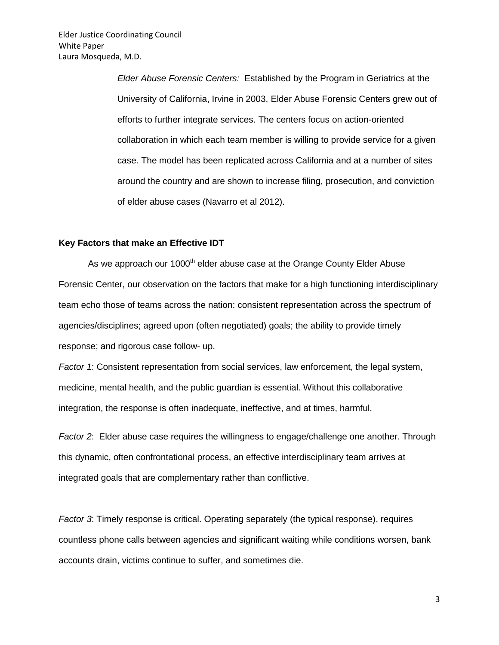*Elder Abuse Forensic Centers:* Established by the Program in Geriatrics at the University of California, Irvine in 2003, Elder Abuse Forensic Centers grew out of efforts to further integrate services. The centers focus on action-oriented collaboration in which each team member is willing to provide service for a given case. The model has been replicated across California and at a number of sites around the country and are shown to increase filing, prosecution, and conviction of elder abuse cases (Navarro et al 2012).

### **Key Factors that make an Effective IDT**

As we approach our 1000<sup>th</sup> elder abuse case at the Orange County Elder Abuse Forensic Center, our observation on the factors that make for a high functioning interdisciplinary team echo those of teams across the nation: consistent representation across the spectrum of agencies/disciplines; agreed upon (often negotiated) goals; the ability to provide timely response; and rigorous case follow- up.

*Factor 1*: Consistent representation from social services, law enforcement, the legal system, medicine, mental health, and the public guardian is essential. Without this collaborative integration, the response is often inadequate, ineffective, and at times, harmful.

*Factor 2*: Elder abuse case requires the willingness to engage/challenge one another. Through this dynamic, often confrontational process, an effective interdisciplinary team arrives at integrated goals that are complementary rather than conflictive.

*Factor 3*: Timely response is critical. Operating separately (the typical response), requires countless phone calls between agencies and significant waiting while conditions worsen, bank accounts drain, victims continue to suffer, and sometimes die.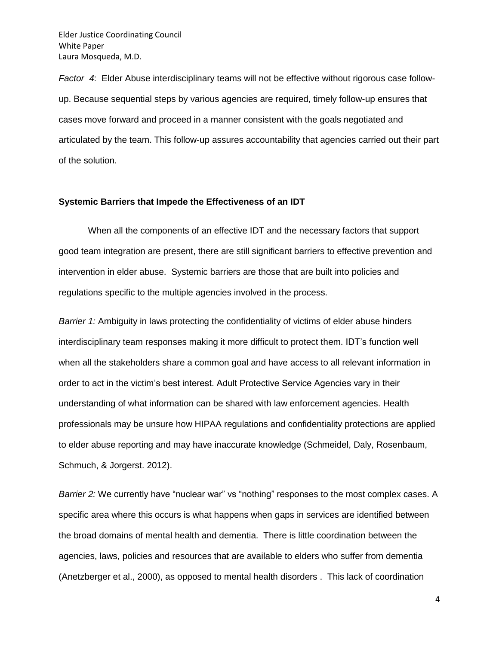*Factor 4*: Elder Abuse interdisciplinary teams will not be effective without rigorous case followup. Because sequential steps by various agencies are required, timely follow-up ensures that cases move forward and proceed in a manner consistent with the goals negotiated and articulated by the team. This follow-up assures accountability that agencies carried out their part of the solution.

### **Systemic Barriers that Impede the Effectiveness of an IDT**

When all the components of an effective IDT and the necessary factors that support good team integration are present, there are still significant barriers to effective prevention and intervention in elder abuse. Systemic barriers are those that are built into policies and regulations specific to the multiple agencies involved in the process.

*Barrier 1:* Ambiguity in laws protecting the confidentiality of victims of elder abuse hinders interdisciplinary team responses making it more difficult to protect them. IDT's function well when all the stakeholders share a common goal and have access to all relevant information in order to act in the victim's best interest. Adult Protective Service Agencies vary in their understanding of what information can be shared with law enforcement agencies. Health professionals may be unsure how HIPAA regulations and confidentiality protections are applied to elder abuse reporting and may have inaccurate knowledge (Schmeidel, Daly, Rosenbaum, Schmuch, & Jorgerst. 2012).

*Barrier 2:* We currently have "nuclear war" vs "nothing" responses to the most complex cases. A specific area where this occurs is what happens when gaps in services are identified between the broad domains of mental health and dementia. There is little coordination between the agencies, laws, policies and resources that are available to elders who suffer from dementia (Anetzberger et al., 2000), as opposed to mental health disorders . This lack of coordination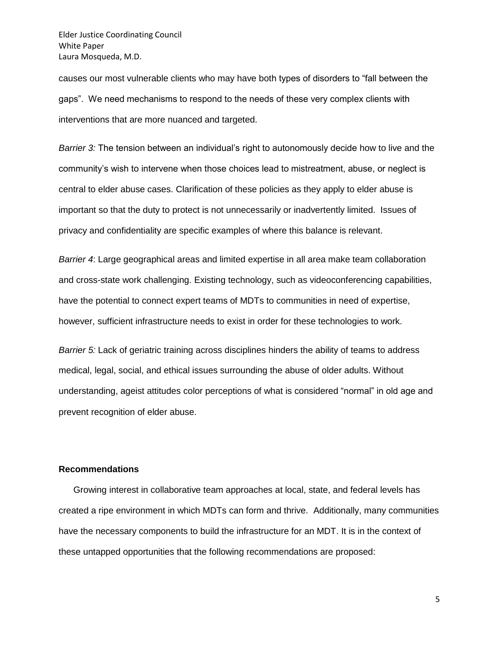causes our most vulnerable clients who may have both types of disorders to "fall between the gaps". We need mechanisms to respond to the needs of these very complex clients with interventions that are more nuanced and targeted.

*Barrier 3:* The tension between an individual's right to autonomously decide how to live and the community's wish to intervene when those choices lead to mistreatment, abuse, or neglect is central to elder abuse cases. Clarification of these policies as they apply to elder abuse is important so that the duty to protect is not unnecessarily or inadvertently limited. Issues of privacy and confidentiality are specific examples of where this balance is relevant.

*Barrier 4*: Large geographical areas and limited expertise in all area make team collaboration and cross-state work challenging. Existing technology, such as videoconferencing capabilities, have the potential to connect expert teams of MDTs to communities in need of expertise, however, sufficient infrastructure needs to exist in order for these technologies to work*.* 

*Barrier 5:* Lack of geriatric training across disciplines hinders the ability of teams to address medical, legal, social, and ethical issues surrounding the abuse of older adults. Without understanding, ageist attitudes color perceptions of what is considered "normal" in old age and prevent recognition of elder abuse.

### **Recommendations**

Growing interest in collaborative team approaches at local, state, and federal levels has created a ripe environment in which MDTs can form and thrive. Additionally, many communities have the necessary components to build the infrastructure for an MDT. It is in the context of these untapped opportunities that the following recommendations are proposed:

5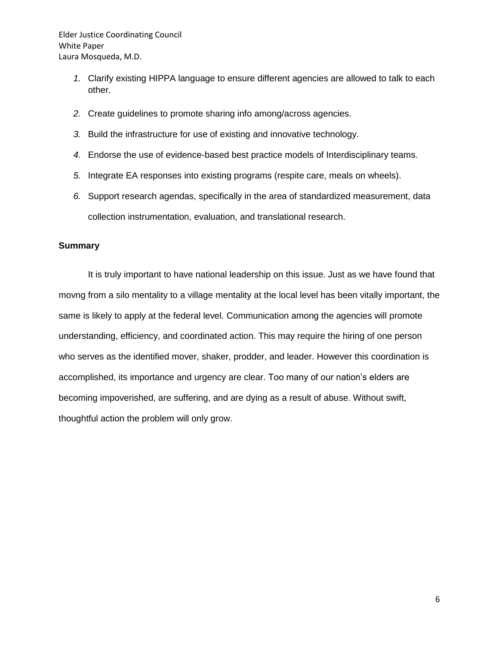- *1.* Clarify existing HIPPA language to ensure different agencies are allowed to talk to each other.
- *2.* Create guidelines to promote sharing info among/across agencies.
- *3.* Build the infrastructure for use of existing and innovative technology.
- *4.* Endorse the use of evidence-based best practice models of Interdisciplinary teams.
- *5.* Integrate EA responses into existing programs (respite care, meals on wheels).
- *6.* Support research agendas, specifically in the area of standardized measurement, data collection instrumentation, evaluation, and translational research.

# **Summary**

It is truly important to have national leadership on this issue. Just as we have found that movng from a silo mentality to a village mentality at the local level has been vitally important, the same is likely to apply at the federal level. Communication among the agencies will promote understanding, efficiency, and coordinated action. This may require the hiring of one person who serves as the identified mover, shaker, prodder, and leader. However this coordination is accomplished, its importance and urgency are clear. Too many of our nation's elders are becoming impoverished, are suffering, and are dying as a result of abuse. Without swift, thoughtful action the problem will only grow.